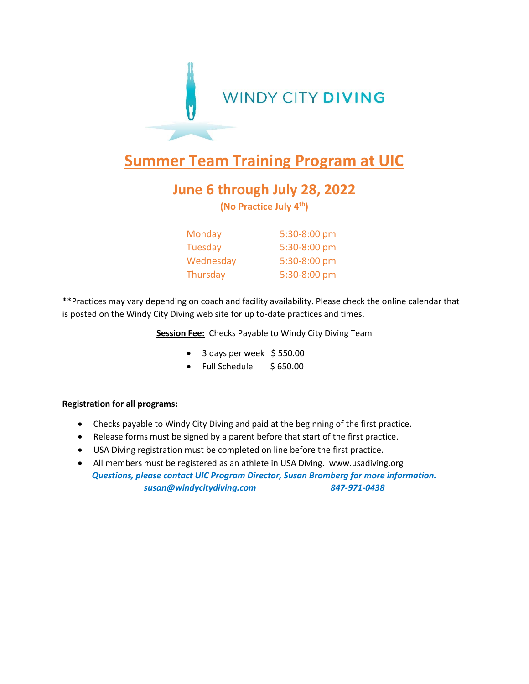

## **Summer Team Training Program at UIC**

## **June 6 through July 28, 2022**

**(No Practice July 4th)**

| Monday    | 5:30-8:00 pm |
|-----------|--------------|
| Tuesday   | 5:30-8:00 pm |
| Wednesday | 5:30-8:00 pm |
| Thursday  | 5:30-8:00 pm |

\*\*Practices may vary depending on coach and facility availability. Please check the online calendar that is posted on the Windy City Diving web site for up to-date practices and times.

**Session Fee:** Checks Payable to Windy City Diving Team

- 3 days per week \$550.00
- Full Schedule \$ 650.00

## **Registration for all programs:**

- Checks payable to Windy City Diving and paid at the beginning of the first practice.
- Release forms must be signed by a parent before that start of the first practice.
- USA Diving registration must be completed on line before the first practice.
- All members must be registered as an athlete in USA Diving. www.usadiving.org *Questions, please contact UIC Program Director, Susan Bromberg for more information. susan@windycitydiving.com 847-971-0438*